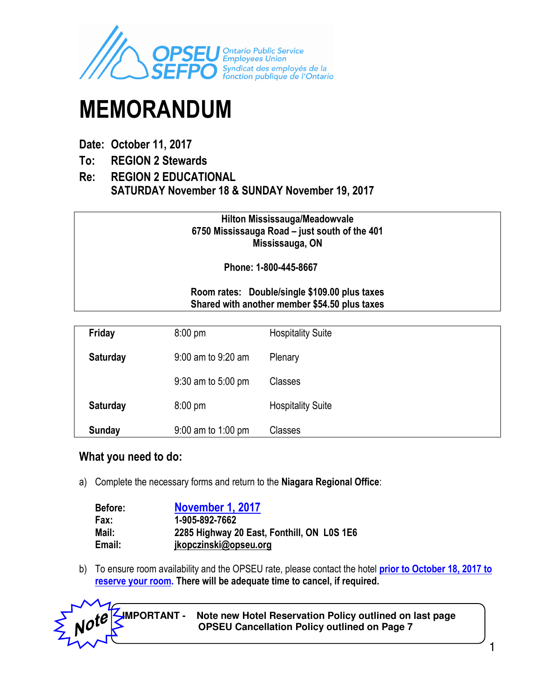

# MEMORANDUM

- Date: October 11, 2017
- To: REGION 2 Stewards
- Re: REGION 2 EDUCATIONAL SATURDAY November 18 & SUNDAY November 19, 2017

Hilton Mississauga/Meadowvale 6750 Mississauga Road – just south of the 401 Mississauga, ON

Phone: 1-800-445-8667

#### Room rates: Double/single \$109.00 plus taxes Shared with another member \$54.50 plus taxes

| Friday          | $8:00 \text{ pm}$    | <b>Hospitality Suite</b> |
|-----------------|----------------------|--------------------------|
| <b>Saturday</b> | 9:00 am to 9:20 am   | Plenary                  |
|                 | 9:30 am to 5:00 pm   | Classes                  |
| <b>Saturday</b> | $8:00$ pm            | <b>Hospitality Suite</b> |
| <b>Sunday</b>   | $9:00$ am to 1:00 pm | Classes                  |

#### What you need to do:

a) Complete the necessary forms and return to the Niagara Regional Office:

| <b>Before:</b> | November 1, 2017                           |
|----------------|--------------------------------------------|
| Fax:           | 1-905-892-7662                             |
| Mail:          | 2285 Highway 20 East, Fonthill, ON L0S 1E6 |
| Email:         | jkopczinski@opseu.org                      |

b) To ensure room availability and the OPSEU rate, please contact the hotel prior to October 18, 2017 to reserve your room. There will be adequate time to cancel, if required.



 **IMPORTANT - Note new Hotel Reservation Policy outlined on last page SIMPURIANI - Note new Hotel Reservation Policy outlined on ACTL**<br>OPSEU Cancellation Policy outlined on Page 7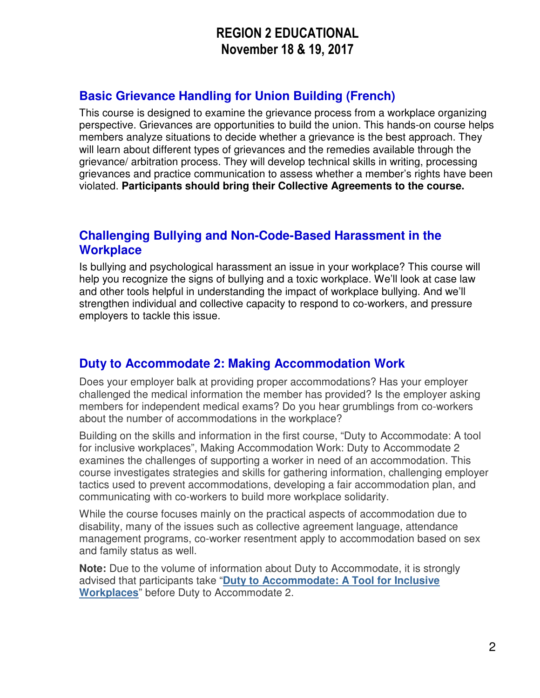# REGION 2 EDUCATIONAL November 18 & 19, 2017

### **Basic Grievance Handling for Union Building (French)**

This course is designed to examine the grievance process from a workplace organizing perspective. Grievances are opportunities to build the union. This hands-on course helps members analyze situations to decide whether a grievance is the best approach. They will learn about different types of grievances and the remedies available through the grievance/ arbitration process. They will develop technical skills in writing, processing grievances and practice communication to assess whether a member's rights have been violated. **Participants should bring their Collective Agreements to the course.**

### **Challenging Bullying and Non-Code-Based Harassment in the Workplace**

Is bullying and psychological harassment an issue in your workplace? This course will help you recognize the signs of bullying and a toxic workplace. We'll look at case law and other tools helpful in understanding the impact of workplace bullying. And we'll strengthen individual and collective capacity to respond to co-workers, and pressure employers to tackle this issue.

### **Duty to Accommodate 2: Making Accommodation Work**

Does your employer balk at providing proper accommodations? Has your employer challenged the medical information the member has provided? Is the employer asking members for independent medical exams? Do you hear grumblings from co-workers about the number of accommodations in the workplace?

Building on the skills and information in the first course, "Duty to Accommodate: A tool for inclusive workplaces", Making Accommodation Work: Duty to Accommodate 2 examines the challenges of supporting a worker in need of an accommodation. This course investigates strategies and skills for gathering information, challenging employer tactics used to prevent accommodations, developing a fair accommodation plan, and communicating with co-workers to build more workplace solidarity.

While the course focuses mainly on the practical aspects of accommodation due to disability, many of the issues such as collective agreement language, attendance management programs, co-worker resentment apply to accommodation based on sex and family status as well.

**Note:** Due to the volume of information about Duty to Accommodate, it is strongly advised that participants take "**Duty to Accommodate: A Tool for Inclusive Workplaces**" before Duty to Accommodate 2.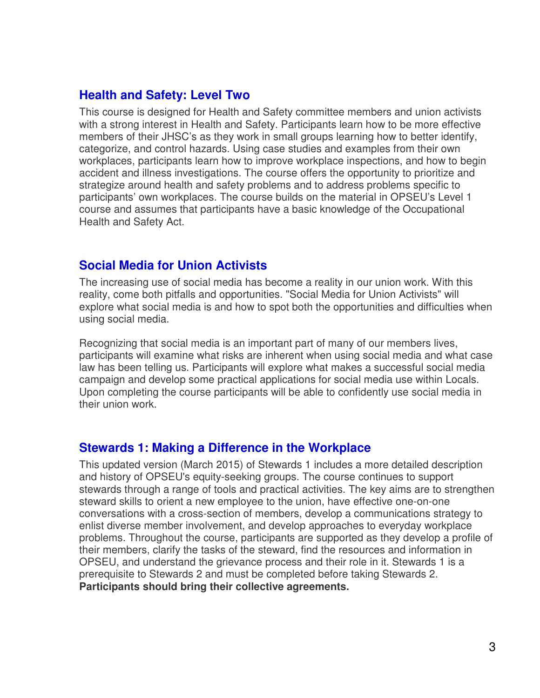### **Health and Safety: Level Two**

This course is designed for Health and Safety committee members and union activists with a strong interest in Health and Safety. Participants learn how to be more effective members of their JHSC's as they work in small groups learning how to better identify, categorize, and control hazards. Using case studies and examples from their own workplaces, participants learn how to improve workplace inspections, and how to begin accident and illness investigations. The course offers the opportunity to prioritize and strategize around health and safety problems and to address problems specific to participants' own workplaces. The course builds on the material in OPSEU's Level 1 course and assumes that participants have a basic knowledge of the Occupational Health and Safety Act.

### **Social Media for Union Activists**

The increasing use of social media has become a reality in our union work. With this reality, come both pitfalls and opportunities. "Social Media for Union Activists" will explore what social media is and how to spot both the opportunities and difficulties when using social media.

Recognizing that social media is an important part of many of our members lives, participants will examine what risks are inherent when using social media and what case law has been telling us. Participants will explore what makes a successful social media campaign and develop some practical applications for social media use within Locals. Upon completing the course participants will be able to confidently use social media in their union work.

### **Stewards 1: Making a Difference in the Workplace**

This updated version (March 2015) of Stewards 1 includes a more detailed description and history of OPSEU's equity-seeking groups. The course continues to support stewards through a range of tools and practical activities. The key aims are to strengthen steward skills to orient a new employee to the union, have effective one-on-one conversations with a cross-section of members, develop a communications strategy to enlist diverse member involvement, and develop approaches to everyday workplace problems. Throughout the course, participants are supported as they develop a profile of their members, clarify the tasks of the steward, find the resources and information in OPSEU, and understand the grievance process and their role in it. Stewards 1 is a prerequisite to Stewards 2 and must be completed before taking Stewards 2. **Participants should bring their collective agreements.**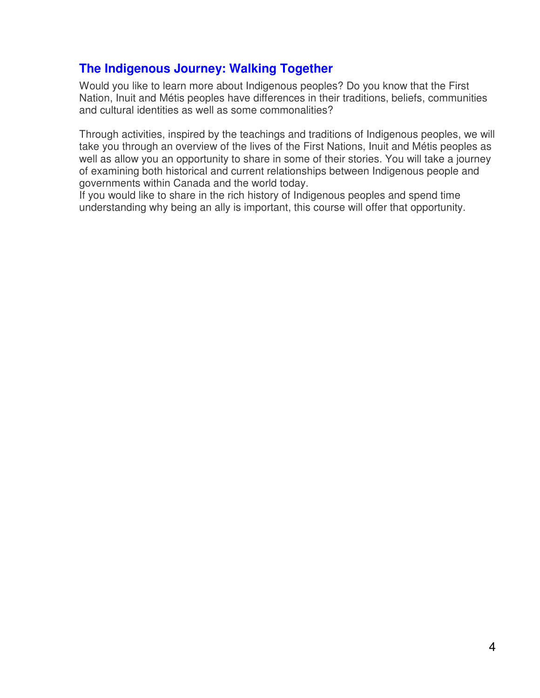### **The Indigenous Journey: Walking Together**

Would you like to learn more about Indigenous peoples? Do you know that the First Nation, Inuit and Métis peoples have differences in their traditions, beliefs, communities and cultural identities as well as some commonalities?

Through activities, inspired by the teachings and traditions of Indigenous peoples, we will take you through an overview of the lives of the First Nations, Inuit and Métis peoples as well as allow you an opportunity to share in some of their stories. You will take a journey of examining both historical and current relationships between Indigenous people and governments within Canada and the world today.

If you would like to share in the rich history of Indigenous peoples and spend time understanding why being an ally is important, this course will offer that opportunity.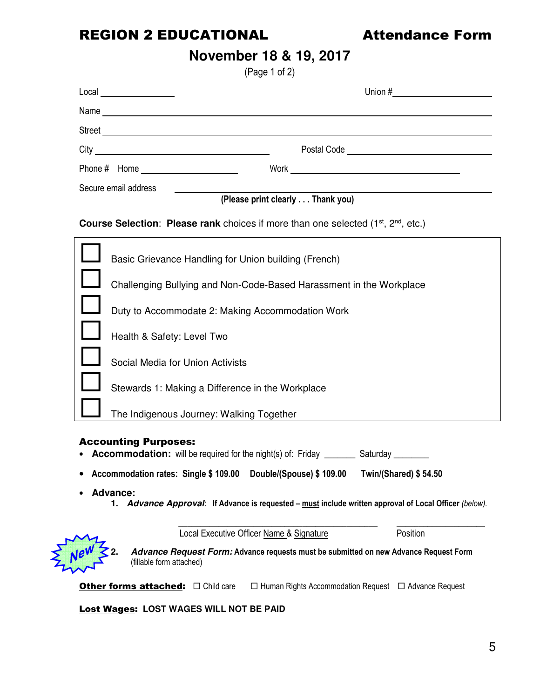# REGION 2 EDUCATIONAL **Attendance Form**

 $\sum_{L}$ 

# **November 18 & 19, 2017**

(Page 1 of 2)

| $\text{Local} \qquad \qquad \text{---} \qquad \qquad$                                                                         |                                                                                                 |  |
|-------------------------------------------------------------------------------------------------------------------------------|-------------------------------------------------------------------------------------------------|--|
|                                                                                                                               |                                                                                                 |  |
|                                                                                                                               |                                                                                                 |  |
|                                                                                                                               |                                                                                                 |  |
|                                                                                                                               |                                                                                                 |  |
| Secure email address                                                                                                          |                                                                                                 |  |
|                                                                                                                               | (Please print clearly Thank you)                                                                |  |
|                                                                                                                               | <b>Course Selection: Please rank</b> choices if more than one selected $(1^{st}, 2^{nd}, etc.)$ |  |
| Basic Grievance Handling for Union building (French)                                                                          |                                                                                                 |  |
|                                                                                                                               | Challenging Bullying and Non-Code-Based Harassment in the Workplace                             |  |
| Duty to Accommodate 2: Making Accommodation Work                                                                              |                                                                                                 |  |
| Health & Safety: Level Two                                                                                                    |                                                                                                 |  |
| Social Media for Union Activists                                                                                              |                                                                                                 |  |
| Stewards 1: Making a Difference in the Workplace                                                                              |                                                                                                 |  |
| The Indigenous Journey: Walking Together                                                                                      |                                                                                                 |  |
| <b>Accounting Purposes:</b><br>• <b>Accommodation:</b> will be required for the night(s) of: Friday ________ Saturday _______ |                                                                                                 |  |
|                                                                                                                               | Accommodation rates: Single \$109.00 Double/(Spouse) \$109.00 Twin/(Shared) \$54.50             |  |
| <b>Advance:</b><br>1. Advance Approval: If Advance is requested – must include written approval of Local Officer (below).     |                                                                                                 |  |
|                                                                                                                               | Position<br>Local Executive Officer Name & Signature                                            |  |
| (fillable form attached)                                                                                                      | Advance Request Form: Advance requests must be submitted on new Advance Request Form            |  |
|                                                                                                                               | $\Box$ Human Rights Accommodation Request $\Box$ Advance Request                                |  |
| <b>Lost Wages: LOST WAGES WILL NOT BE PAID</b>                                                                                |                                                                                                 |  |

5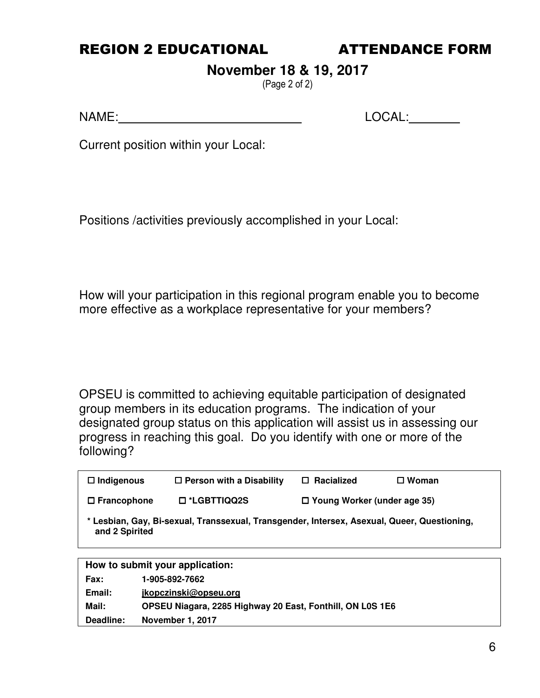### REGION 2 EDUCATIONAL ATTENDANCE FORM

# **November 18 & 19, 2017**

(Page 2 of 2)

NAME: LOCAL:

Current position within your Local:

Positions /activities previously accomplished in your Local:

How will your participation in this regional program enable you to become more effective as a workplace representative for your members?

OPSEU is committed to achieving equitable participation of designated group members in its education programs. The indication of your designated group status on this application will assist us in assessing our progress in reaching this goal. Do you identify with one or more of the following?

| $\Box$ Indigenous                                                                                             | $\Box$ Person with a Disability | Racialized<br>П.                   | $\square$ Woman |
|---------------------------------------------------------------------------------------------------------------|---------------------------------|------------------------------------|-----------------|
| $\Box$ Francophone                                                                                            | $\square$ *LGBTTIQQ2S           | $\Box$ Young Worker (under age 35) |                 |
| * Lesbian, Gay, Bi-sexual, Transsexual, Transgender, Intersex, Asexual, Queer, Questioning,<br>and 2 Spirited |                                 |                                    |                 |
|                                                                                                               |                                 |                                    |                 |
| How to submit your application:                                                                               |                                 |                                    |                 |
|                                                                                                               |                                 |                                    |                 |

| .         | , JUU UJE <i>;</i> UUE                                    |
|-----------|-----------------------------------------------------------|
| Email:    | jkopczinski@opseu.org                                     |
| Mail:     | OPSEU Niagara, 2285 Highway 20 East, Fonthill, ON L0S 1E6 |
| Deadline: | <b>November 1, 2017</b>                                   |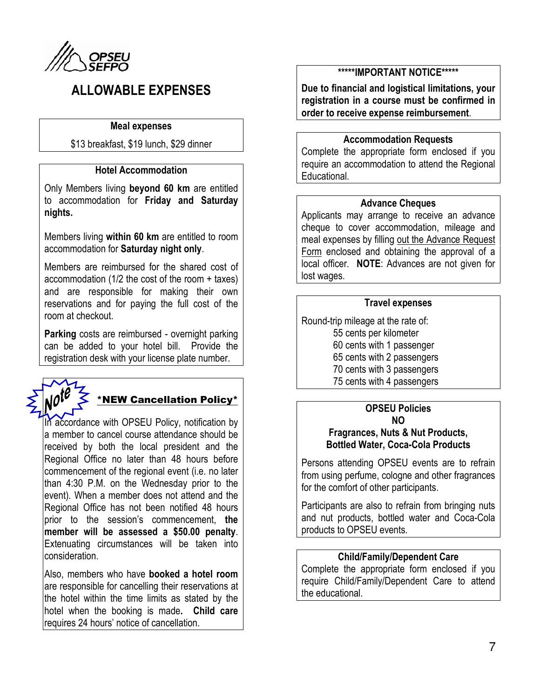

# ALLOWABLE EXPENSES

#### Meal expenses

\$13 breakfast, \$19 lunch, \$29 dinner

#### Hotel Accommodation

Only Members living beyond 60 km are entitled to accommodation for Friday and Saturday nights.

Members living within 60 km are entitled to room accommodation for Saturday night only.

Members are reimbursed for the shared cost of accommodation (1/2 the cost of the room + taxes) and are responsible for making their own reservations and for paying the full cost of the room at checkout.

Parking costs are reimbursed - overnight parking can be added to your hotel bill. Provide the registration desk with your license plate number.



# \*NEW Cancellation Policy\*

In accordance with OPSEU Policy, notification by a member to cancel course attendance should be received by both the local president and the Regional Office no later than 48 hours before commencement of the regional event (i.e. no later than 4:30 P.M. on the Wednesday prior to the event). When a member does not attend and the Regional Office has not been notified 48 hours prior to the session's commencement, the member will be assessed a \$50.00 penalty. Extenuating circumstances will be taken into consideration.

Also, members who have **booked a hotel room** are responsible for cancelling their reservations at the hotel within the time limits as stated by the hotel when the booking is made. Child care requires 24 hours' notice of cancellation.

#### \*\*\*\*\*IMPORTANT NOTICE\*\*\*\*\*

Due to financial and logistical limitations, your registration in a course must be confirmed in order to receive expense reimbursement.

#### Accommodation Requests

Complete the appropriate form enclosed if you require an accommodation to attend the Regional Educational.

#### Advance Cheques

Applicants may arrange to receive an advance cheque to cover accommodation, mileage and meal expenses by filling out the Advance Request Form enclosed and obtaining the approval of a local officer. NOTE: Advances are not given for lost wages.

#### Travel expenses

Round-trip mileage at the rate of: 55 cents per kilometer 60 cents with 1 passenger 65 cents with 2 passengers 70 cents with 3 passengers 75 cents with 4 passengers

## OPSEU Policies

#### NO Fragrances, Nuts & Nut Products, Bottled Water, Coca-Cola Products

Persons attending OPSEU events are to refrain from using perfume, cologne and other fragrances for the comfort of other participants.

Participants are also to refrain from bringing nuts and nut products, bottled water and Coca-Cola products to OPSEU events.

#### Child/Family/Dependent Care

Complete the appropriate form enclosed if you require Child/Family/Dependent Care to attend the educational.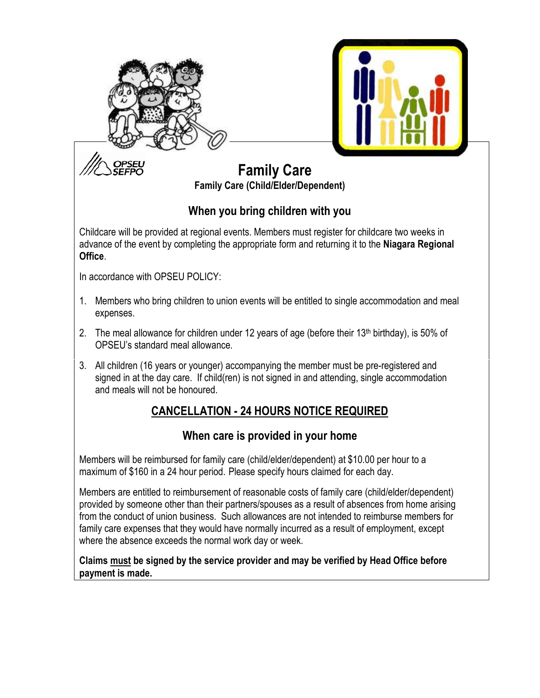



# Family Care Family Care (Child/Elder/Dependent)

### When you bring children with you

Childcare will be provided at regional events. Members must register for childcare two weeks in advance of the event by completing the appropriate form and returning it to the Niagara Regional Office.

In accordance with OPSEU POLICY:

- 1. Members who bring children to union events will be entitled to single accommodation and meal expenses.
- 2. The meal allowance for children under 12 years of age (before their 13<sup>th</sup> birthday), is 50% of OPSEU's standard meal allowance.
- 3. All children (16 years or younger) accompanying the member must be pre-registered and signed in at the day care. If child(ren) is not signed in and attending, single accommodation and meals will not be honoured.

# CANCELLATION - 24 HOURS NOTICE REQUIRED

### When care is provided in your home

Members will be reimbursed for family care (child/elder/dependent) at \$10.00 per hour to a maximum of \$160 in a 24 hour period. Please specify hours claimed for each day.

Members are entitled to reimbursement of reasonable costs of family care (child/elder/dependent) provided by someone other than their partners/spouses as a result of absences from home arising from the conduct of union business. Such allowances are not intended to reimburse members for family care expenses that they would have normally incurred as a result of employment, except where the absence exceeds the normal work day or week.

Claims must be signed by the service provider and may be verified by Head Office before payment is made.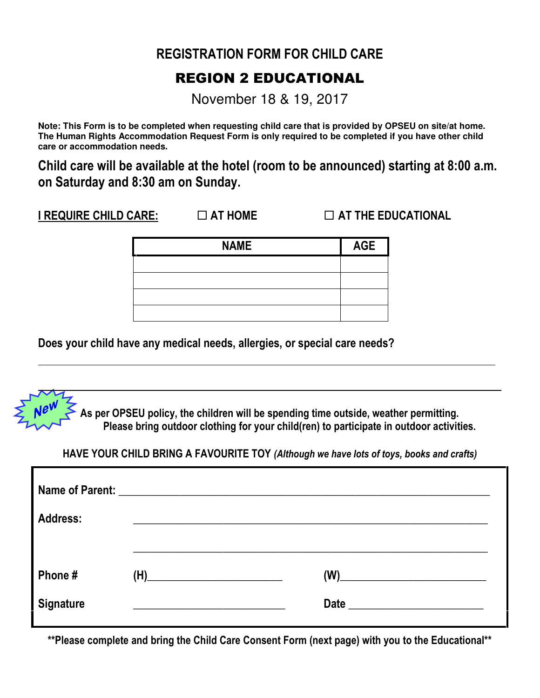# REGISTRATION FORM FOR CHILD CARE

# REGION 2 EDUCATIONAL

November 18 & 19, 2017

**Note: This Form is to be completed when requesting child care that is provided by OPSEU on site/at home. The Human Rights Accommodation Request Form is only required to be completed if you have other child care or accommodation needs.** 

Child care will be available at the hotel (room to be announced) starting at 8:00 a.m. on Saturday and 8:30 am on Sunday.

I REQUIRE CHILD CARE:  $\Box$  AT HOME  $\Box$  AT THE EDUCATIONAL

| <b>NAME</b> | <b>AGE</b> |
|-------------|------------|
|             |            |
|             |            |
|             |            |
|             |            |

Does your child have any medical needs, allergies, or special care needs?



HAVE YOUR CHILD BRING A FAVOURITE TOY (Although we have lots of toys, books and crafts)

| <b>Address:</b>            |     |                                                                            |
|----------------------------|-----|----------------------------------------------------------------------------|
| Phone#<br><b>Signature</b> | (H) | (W)<br><u> 1980 - Jan James James Barbara, president politik (</u><br>Date |

\*\*Please complete and bring the Child Care Consent Form (next page) with you to the Educational\*\*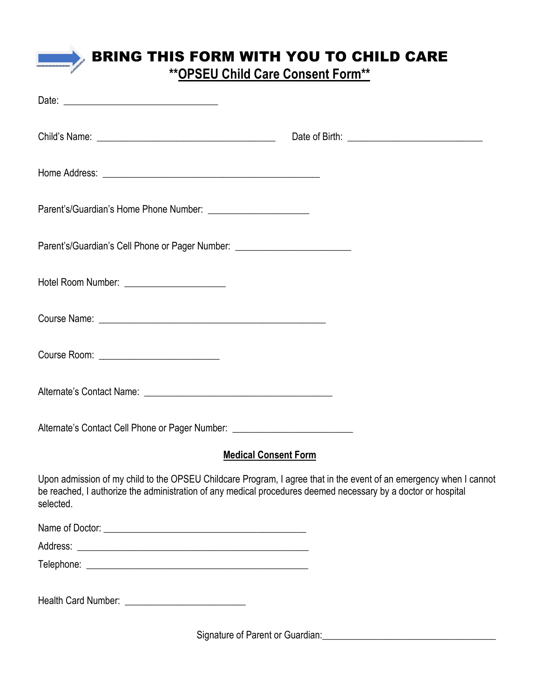# BRING THIS FORM WITH YOU TO CHILD CARE

\*\*OPSEU Child Care Consent Form\*\*

| Parent's/Guardian's Cell Phone or Pager Number: ________________________________                                                                                                                                                                 |  |
|--------------------------------------------------------------------------------------------------------------------------------------------------------------------------------------------------------------------------------------------------|--|
| Hotel Room Number: ________________________                                                                                                                                                                                                      |  |
|                                                                                                                                                                                                                                                  |  |
|                                                                                                                                                                                                                                                  |  |
|                                                                                                                                                                                                                                                  |  |
| Alternate's Contact Cell Phone or Pager Number: ________________________________                                                                                                                                                                 |  |
| <b>Medical Consent Form</b>                                                                                                                                                                                                                      |  |
| Upon admission of my child to the OPSEU Childcare Program, I agree that in the event of an emergency when I cannot<br>be reached, I authorize the administration of any medical procedures deemed necessary by a doctor or hospital<br>selected. |  |
|                                                                                                                                                                                                                                                  |  |
|                                                                                                                                                                                                                                                  |  |
|                                                                                                                                                                                                                                                  |  |
|                                                                                                                                                                                                                                                  |  |

Signature of Parent or Guardian:\_\_\_\_\_\_\_\_\_\_\_\_\_\_\_\_\_\_\_\_\_\_\_\_\_\_\_\_\_\_\_\_\_\_\_\_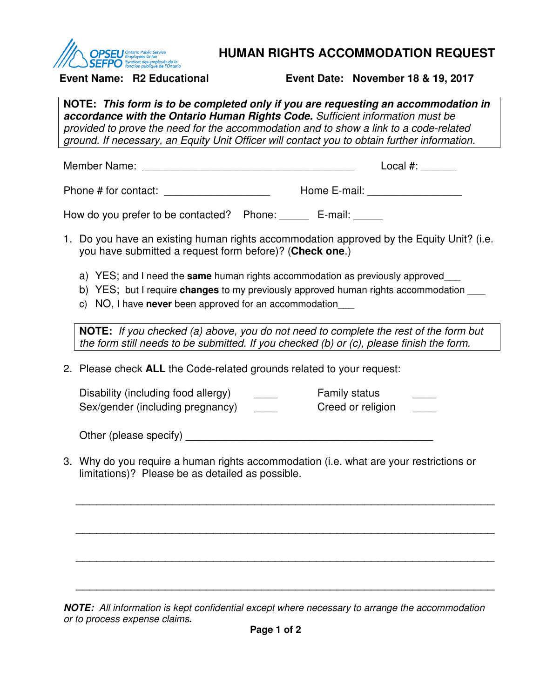

### **HUMAN RIGHTS ACCOMMODATION REQUEST**

**Event Name: R2 Educational Event Date: November 18 & 19, 2017** 

**NOTE: This form is to be completed only if you are requesting an accommodation in accordance with the Ontario Human Rights Code.** Sufficient information must be provided to prove the need for the accommodation and to show a link to a code-related ground. If necessary, an Equity Unit Officer will contact you to obtain further information. Member Name: \_\_\_\_\_\_\_\_\_\_\_\_\_\_\_\_\_\_\_\_\_\_\_\_\_\_\_\_\_\_\_\_\_\_\_\_ Local #: \_\_\_\_\_\_ Phone # for contact: \_\_\_\_\_\_\_\_\_\_\_\_\_\_\_\_\_\_ Home E-mail: \_\_\_\_\_\_\_\_\_\_\_\_\_\_\_\_ How do you prefer to be contacted? Phone: E-mail: 1. Do you have an existing human rights accommodation approved by the Equity Unit? (i.e. you have submitted a request form before)? (**Check one**.) a) YES; and I need the **same** human rights accommodation as previously approved \_\_\_ b) YES; but I require **changes** to my previously approved human rights accommodation \_\_\_ c) NO, I have **never** been approved for an accommodation\_\_\_ **NOTE:** If you checked (a) above, you do not need to complete the rest of the form but the form still needs to be submitted. If you checked (b) or (c), please finish the form. 2. Please check **ALL** the Code-related grounds related to your request: Disability (including food allergy) example Family status Family status Disability (including food allergy) Sex/gender (including pregnancy) example of creed or religion  $\sim$ Other (please specify) **Example 2** and the control of the control of the control of the control of the control of the control of the control of the control of the control of the control of the control of the control of the 3. Why do you require a human rights accommodation (i.e. what are your restrictions or limitations)? Please be as detailed as possible. \_\_\_\_\_\_\_\_\_\_\_\_\_\_\_\_\_\_\_\_\_\_\_\_\_\_\_\_\_\_\_\_\_\_\_\_\_\_\_\_\_\_\_\_\_\_\_\_\_\_\_\_\_\_\_\_\_\_\_\_\_ \_\_\_\_\_\_\_\_\_\_\_\_\_\_\_\_\_\_\_\_\_\_\_\_\_\_\_\_\_\_\_\_\_\_\_\_\_\_\_\_\_\_\_\_\_\_\_\_\_\_\_\_\_\_\_\_\_\_\_\_\_

**NOTE:** All information is kept confidential except where necessary to arrange the accommodation or to process expense claims**.** 

\_\_\_\_\_\_\_\_\_\_\_\_\_\_\_\_\_\_\_\_\_\_\_\_\_\_\_\_\_\_\_\_\_\_\_\_\_\_\_\_\_\_\_\_\_\_\_\_\_\_\_\_\_\_\_\_\_\_\_\_\_

\_\_\_\_\_\_\_\_\_\_\_\_\_\_\_\_\_\_\_\_\_\_\_\_\_\_\_\_\_\_\_\_\_\_\_\_\_\_\_\_\_\_\_\_\_\_\_\_\_\_\_\_\_\_\_\_\_\_\_\_\_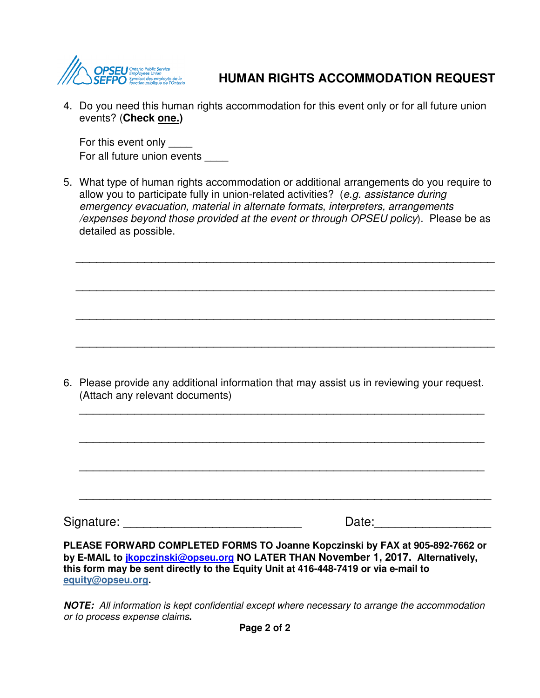

### **HUMAN RIGHTS ACCOMMODATION REQUEST**

4. Do you need this human rights accommodation for this event only or for all future union events? (**Check one.)**

For this event only For all future union events

5. What type of human rights accommodation or additional arrangements do you require to allow you to participate fully in union-related activities? (e.g. assistance during emergency evacuation, material in alternate formats, interpreters, arrangements /expenses beyond those provided at the event or through OPSEU policy). Please be as detailed as possible.

\_\_\_\_\_\_\_\_\_\_\_\_\_\_\_\_\_\_\_\_\_\_\_\_\_\_\_\_\_\_\_\_\_\_\_\_\_\_\_\_\_\_\_\_\_\_\_\_\_\_\_\_\_\_\_\_\_\_\_\_\_

\_\_\_\_\_\_\_\_\_\_\_\_\_\_\_\_\_\_\_\_\_\_\_\_\_\_\_\_\_\_\_\_\_\_\_\_\_\_\_\_\_\_\_\_\_\_\_\_\_\_\_\_\_\_\_\_\_\_\_\_\_

\_\_\_\_\_\_\_\_\_\_\_\_\_\_\_\_\_\_\_\_\_\_\_\_\_\_\_\_\_\_\_\_\_\_\_\_\_\_\_\_\_\_\_\_\_\_\_\_\_\_\_\_\_\_\_\_\_\_\_\_\_

\_\_\_\_\_\_\_\_\_\_\_\_\_\_\_\_\_\_\_\_\_\_\_\_\_\_\_\_\_\_\_\_\_\_\_\_\_\_\_\_\_\_\_\_\_\_\_\_\_\_\_\_\_\_\_\_\_\_\_\_\_

6. Please provide any additional information that may assist us in reviewing your request. (Attach any relevant documents)

\_\_\_\_\_\_\_\_\_\_\_\_\_\_\_\_\_\_\_\_\_\_\_\_\_\_\_\_\_\_\_\_\_\_\_\_\_\_\_\_\_\_\_\_\_\_\_\_\_\_\_\_\_\_\_\_\_\_\_

\_\_\_\_\_\_\_\_\_\_\_\_\_\_\_\_\_\_\_\_\_\_\_\_\_\_\_\_\_\_\_\_\_\_\_\_\_\_\_\_\_\_\_\_\_\_\_\_\_\_\_\_\_\_\_\_\_\_\_

\_\_\_\_\_\_\_\_\_\_\_\_\_\_\_\_\_\_\_\_\_\_\_\_\_\_\_\_\_\_\_\_\_\_\_\_\_\_\_\_\_\_\_\_\_\_\_\_\_\_\_\_\_\_\_\_\_\_\_

\_\_\_\_\_\_\_\_\_\_\_\_\_\_\_\_\_\_\_\_\_\_\_\_\_\_\_\_\_\_\_\_\_\_\_\_\_\_\_\_\_\_\_\_\_\_\_\_\_\_\_\_\_\_\_\_\_\_\_\_

Signature: \_\_\_\_\_\_\_\_\_\_\_\_\_\_\_\_\_\_\_\_\_\_\_\_\_\_ Date:\_\_\_\_\_\_\_\_\_\_\_\_\_\_\_\_\_

**PLEASE FORWARD COMPLETED FORMS TO Joanne Kopczinski by FAX at 905-892-7662 or by E-MAIL to jkopczinski@opseu.org NO LATER THAN November 1, 2017. Alternatively, this form may be sent directly to the Equity Unit at 416-448-7419 or via e-mail to equity@opseu.org.** 

**NOTE:** All information is kept confidential except where necessary to arrange the accommodation or to process expense claims**.**